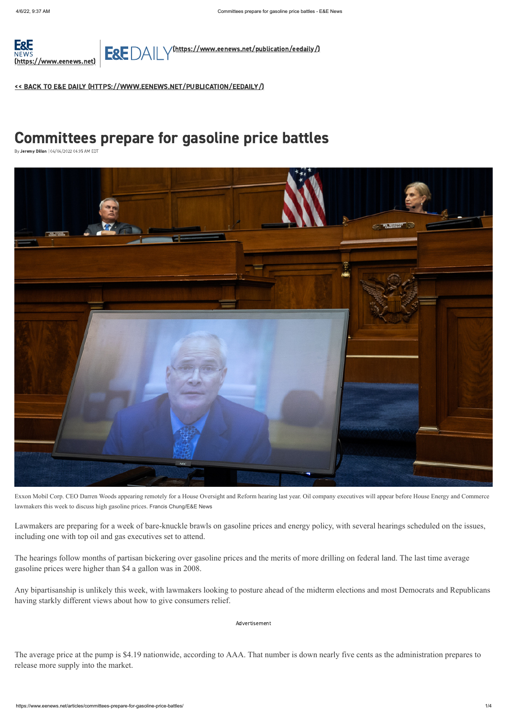

E&E DAILY [\(https://www.eenews.net/publication/eedaily/\)](https://www.eenews.net/publication/eedaily/)

<< BACK TO E&E DAILY [\(HTTPS://WWW.EENEWS.NET/PUBLICATION/EEDAILY/\)](https://www.eenews.net/publication/eedaily/)

Lawmakers are preparing for a week of bare-knuckle brawls on gasoline prices and energy policy, with several hearings scheduled on the issues, including one with top oil and gas executives set to attend.

The hearings follow months of partisan bickering over gasoline prices and the merits of more drilling on federal land. The last time average gasoline prices were higher than \$4 a gallon was in 2008.

Any bipartisanship is unlikely this week, with lawmakers looking to posture ahead of the midterm elections and most Democrats and Republicans having starkly different views about how to give consumers relief.

The average price at the pump is \$4.19 nationwide, according to AAA. That number is down nearly five cents as the administration prepares to release more supply into the market.

# Committees prepare for gasoline price battles

By Jeremy Dillon | 04/04/2022 06:35 AM EDT



Exxon Mobil Corp. CEO Darren Woods appearing remotely for a House Oversight and Reform hearing last year. Oil company executives will appear before House Energy and Commerce lawmakers this week to discuss high gasoline prices. Francis Chung/E&E News

Advertisement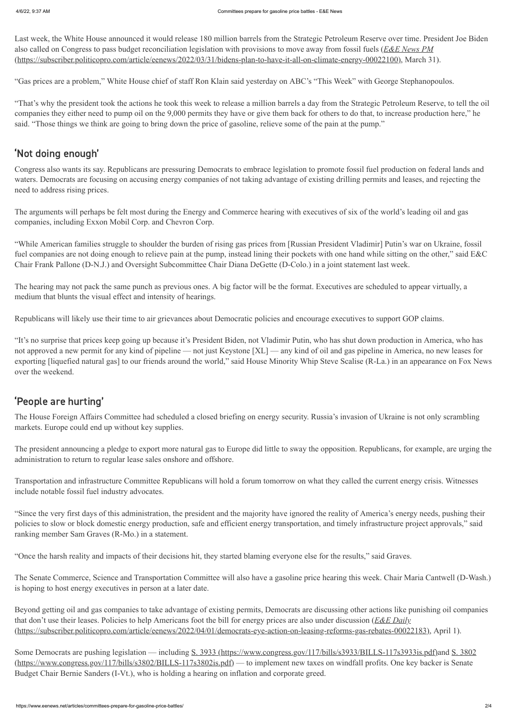Last week, the White House announced it would release 180 million barrels from the Strategic Petroleum Reserve over time. President Joe Biden also called on Congress to pass budget reconciliation legislation with provisions to move away from fossil fuels (*E&E News PM* [\(https://subscriber.politicopro.com/article/eenews/2022/03/31/bidens-plan-to-have-it-all-on-climate-energy-00022100\), March 31](https://subscriber.politicopro.com/article/eenews/2022/03/31/bidens-plan-to-have-it-all-on-climate-energy-00022100)).

"Gas prices are a problem," White House chief of staff Ron Klain said yesterday on ABC's "This Week" with George Stephanopoulos.

"That's why the president took the actions he took this week to release a million barrels a day from the Strategic Petroleum Reserve, to tell the oil companies they either need to pump oil on the 9,000 permits they have or give them back for others to do that, to increase production here," he said. "Those things we think are going to bring down the price of gasoline, relieve some of the pain at the pump."

## 'Not doing enough'

Congress also wants its say. Republicans are pressuring Democrats to embrace legislation to promote fossil fuel production on federal lands and waters. Democrats are focusing on accusing energy companies of not taking advantage of existing drilling permits and leases, and rejecting the need to address rising prices.

The arguments will perhaps be felt most during the Energy and Commerce hearing with executives of six of the world's leading oil and gas companies, including Exxon Mobil Corp. and Chevron Corp.

"While American families struggle to shoulder the burden of rising gas prices from [Russian President Vladimir] Putin's war on Ukraine, fossil fuel companies are not doing enough to relieve pain at the pump, instead lining their pockets with one hand while sitting on the other," said E&C Chair Frank Pallone (D-N.J.) and Oversight Subcommittee Chair Diana DeGette (D-Colo.) in a joint statement last week.

The hearing may not pack the same punch as previous ones. A big factor will be the format. Executives are scheduled to appear virtually, a medium that blunts the visual effect and intensity of hearings.

Republicans will likely use their time to air grievances about Democratic policies and encourage executives to support GOP claims.

[Some Democrats are pushing legislation — including](https://www.congress.gov/117/bills/s3802/BILLS-117s3802is.pdf) [S. 3933 \(https://www.congress.gov/117/bills/s3933/BILLS-117s3933is.pdf\)](https://www.congress.gov/117/bills/s3933/BILLS-117s3933is.pdf)[and S. 3802](https://www.congress.gov/117/bills/s3802/BILLS-117s3802is.pdf) (https://www.congress.gov/117/bills/s3802/BILLS-117s3802is.pdf) — to implement new taxes on windfall profits. One key backer is Senate Budget Chair Bernie Sanders (I-Vt.), who is holding a hearing on inflation and corporate greed.

"It's no surprise that prices keep going up because it's President Biden, not Vladimir Putin, who has shut down production in America, who has not approved a new permit for any kind of pipeline — not just Keystone [XL] — any kind of oil and gas pipeline in America, no new leases for exporting [liquefied natural gas] to our friends around the world," said House Minority Whip Steve Scalise (R-La.) in an appearance on Fox News over the weekend.

### 'People are hurting'

The House Foreign Affairs Committee had scheduled a closed briefing on energy security. Russia's invasion of Ukraine is not only scrambling markets. Europe could end up without key supplies.

The president announcing a pledge to export more natural gas to Europe did little to sway the opposition. Republicans, for example, are urging the administration to return to regular lease sales onshore and offshore.

Transportation and infrastructure Committee Republicans will hold a forum tomorrow on what they called the current energy crisis. Witnesses include notable fossil fuel industry advocates.

"Since the very first days of this administration, the president and the majority have ignored the reality of America's energy needs, pushing their policies to slow or block domestic energy production, safe and efficient energy transportation, and timely infrastructure project approvals," said ranking member Sam Graves (R-Mo.) in a statement.

"Once the harsh reality and impacts of their decisions hit, they started blaming everyone else for the results," said Graves.

The Senate Commerce, Science and Transportation Committee will also have a gasoline price hearing this week. Chair Maria Cantwell (D-Wash.) is hoping to host energy executives in person at a later date.

Beyond getting oil and gas companies to take advantage of existing permits, Democrats are discussing other actions like punishing oil companies that don't use their leases. Policies to help Americans foot the bill for energy prices are also under discussion (*E&E Daily* [\(https://subscriber.politicopro.com/article/eenews/2022/04/01/democrats-eye-action-on-leasing-reforms-gas-rebates-00022183\)](https://subscriber.politicopro.com/article/eenews/2022/04/01/democrats-eye-action-on-leasing-reforms-gas-rebates-00022183), April 1).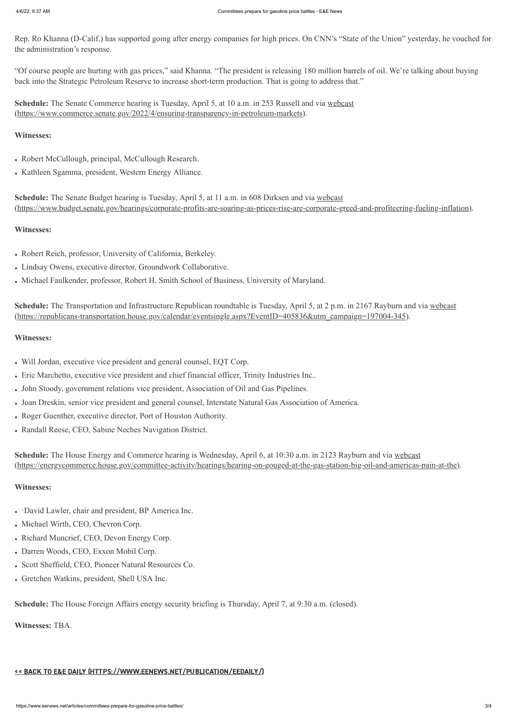Rep. Ro Khanna (D-Calif.) has supported going after energy companies for high prices. On CNN's "State of the Union" yesterday, he vouched for the administration's response.

- Robert McCullough, principal, McCullough Research.
- Kathleen Sgamma, president, Western Energy Alliance.

"Of course people are hurting with gas prices," said Khanna. "The president is releasing 180 million barrels of oil. We're talking about buying back into the Strategic Petroleum Reserve to increase short-term production. That is going to address that."

**Schedule:** [The Senate Commerce hearing is Tuesday, April 5, at 10 a.m. in 253 Russell and via webcast](https://www.commerce.senate.gov/2022/4/ensuring-transparency-in-petroleum-markets) (https://www.commerce.senate.gov/2022/4/ensuring-transparency-in-petroleum-markets).

### **Witnesses:**

**Schedule:** The Senate Budget hearing is Tuesday, April 5, at 11 a.m. in 608 Dirksen and via webcast [\(https://www.budget.senate.gov/hearings/corporate-profits-are-soaring-as-prices-rise-are-corporate-greed-and-profiteering-fueling-inflation\)](https://www.budget.senate.gov/hearings/corporate-profits-are-soaring-as-prices-rise-are-corporate-greed-and-profiteering-fueling-inflation).

### **Witnesses:**

- Robert Reich, professor, University of California, Berkeley.
- Lindsay Owens, executive director, Groundwork Collaborative.
- Michael Faulkender, professor, Robert H. Smith School of Business, University of Maryland.

**Schedule:** [The Transportation and Infrastructure Republican roundtable is Tuesday, April 5, at 2 p.m. in 2167 Rayburn and via webcast](https://republicans-transportation.house.gov/calendar/eventsingle.aspx?EventID=405836&utm_campaign=197004-345) (https://republicans-transportation.house.gov/calendar/eventsingle.aspx?EventID=405836&utm\_campaign=197004-345).

#### **Witnesses:**

- Will Jordan, executive vice president and general counsel, EQT Corp.
- Eric Marchetto, executive vice president and chief financial officer, Trinity Industries Inc..
- John Stoody, government relations vice president, Association of Oil and Gas Pipelines.
- Joan Dreskin, senior vice president and general counsel, Interstate Natural Gas Association of America.
- Roger Guenther, executive director, Port of Houston Authority.
- Randall Reese, CEO, Sabine Neches Navigation District.

**Schedule:** The House Energy and Commerce hearing is Wednesday, April 6, at 10:30 a.m. in 2123 Rayburn and via webcast [\(https://energycommerce.house.gov/committee-activity/hearings/hearing-on-gouged-at-the-gas-station-big-oil-and-americas-pain-at-the\)](https://energycommerce.house.gov/committee-activity/hearings/hearing-on-gouged-at-the-gas-station-big-oil-and-americas-pain-at-the).

#### **Witnesses:**

- ·David Lawler, chair and president, BP America Inc.
- Michael Wirth, CEO, Chevron Corp.
- Richard Muncrief, CEO, Devon Energy Corp.
- Darren Woods, CEO, Exxon Mobil Corp.
- Scott Sheffield, CEO, Pioneer Natural Resources Co.
- Gretchen Watkins, president, Shell USA Inc.

**Schedule:** The House Foreign Affairs energy security briefing is Thursday, April 7, at 9:30 a.m. (closed).

**Witnesses:** TBA.

#### << BACK TO E&E DAILY [\(HTTPS://WWW.EENEWS.NET/PUBLICATION/EEDAILY/\)](https://www.eenews.net/publication/eedaily/)